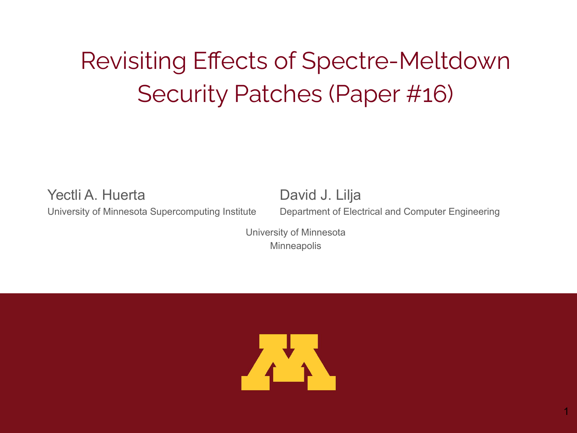## Revisiting Effects of Spectre-Meltdown Security Patches (Paper #16)

Yectli A. Huerta University of Minnesota Supercomputing Institute David J. Lilja Department of Electrical and Computer Engineering

University of Minnesota **Minneapolis** 

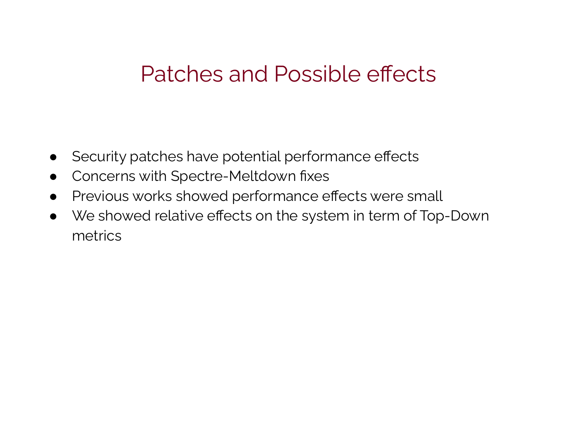#### Patches and Possible effects

- Security patches have potential performance effects
- Concerns with Spectre-Meltdown fixes
- Previous works showed performance effects were small
- We showed relative effects on the system in term of Top-Down metrics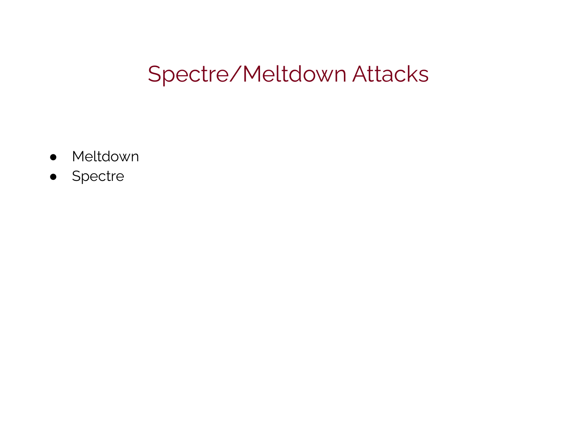#### Spectre/Meltdown Attacks

- Meltdown
- Spectre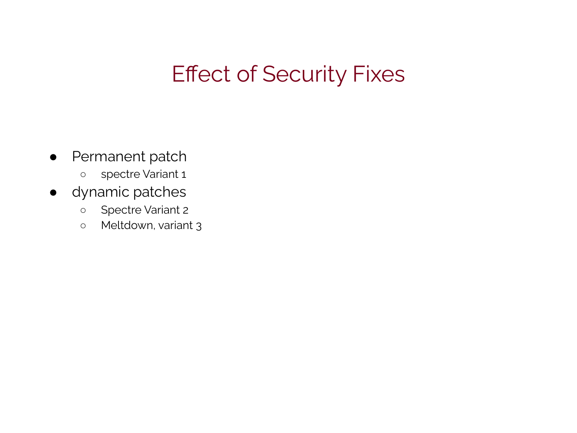### Effect of Security Fixes

- Permanent patch
	- spectre Variant 1
- dynamic patches
	- Spectre Variant 2
	- Meltdown, variant 3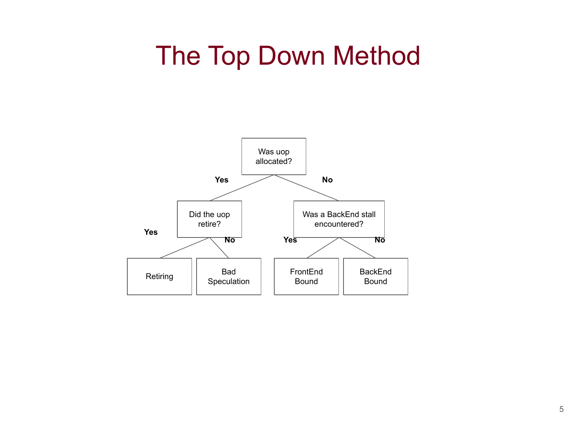### The Top Down Method

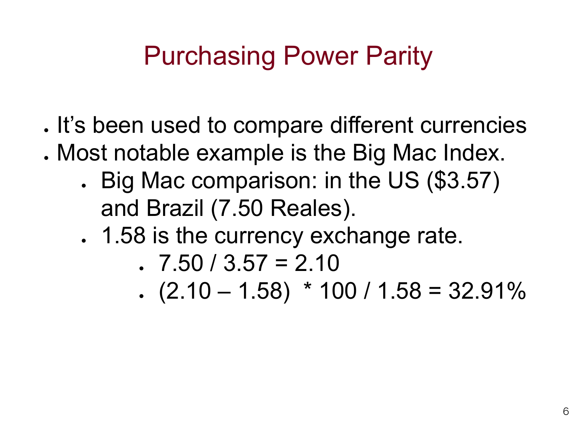. It's been used to compare different currencies

- . Most notable example is the Big Mac Index.
	- . Big Mac comparison: in the US (\$3.57) and Brazil (7.50 Reales).
	- . 1.58 is the currency exchange rate.

$$
7.50 / 3.57 = 2.10
$$

 $(2.10 - 1.58) * 100 / 1.58 = 32.91\%$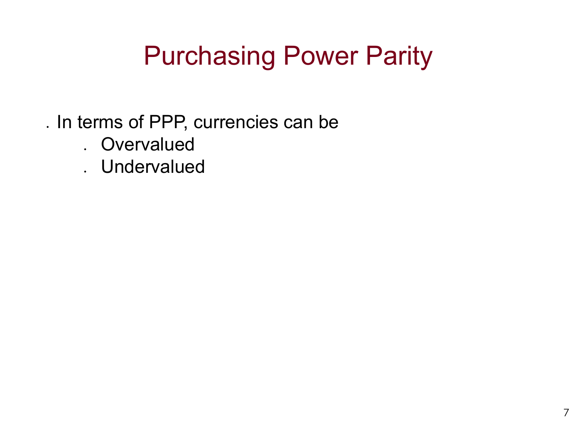- . In terms of PPP, currencies can be
	- . Overvalued
	- . Undervalued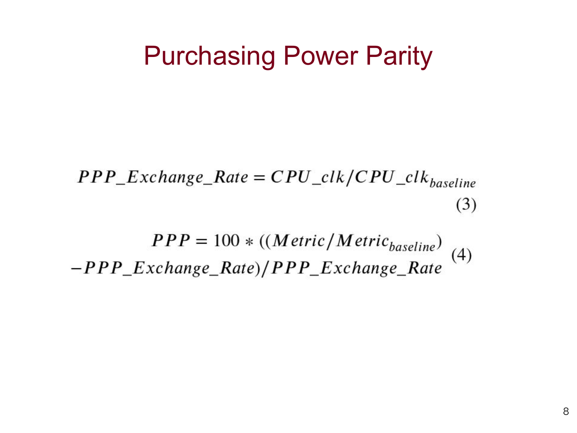$PPP\_Exchange\_Rate = CPU\_clk/CPU\_clk_{baseline}$  $(3)$ 

 $PPP = 100 * ((Metric/Metric<sub>baseline</sub>)$ <br>(4) -PPP\_Exchange\_Rate)/PPP\_Exchange\_Rate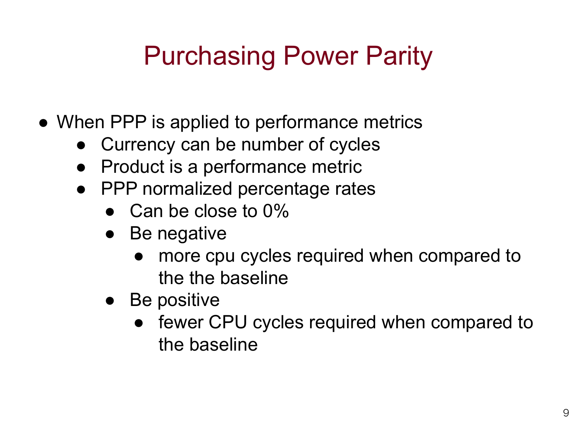- When PPP is applied to performance metrics
	- Currency can be number of cycles
	- Product is a performance metric
	- PPP normalized percentage rates
		- $\bullet$  Can be close to 0%
		- Be negative
			- more cpu cycles required when compared to the the baseline
		- Be positive
			- fewer CPU cycles required when compared to the baseline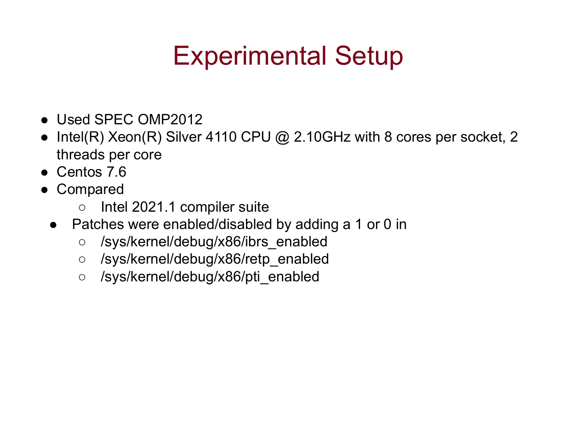## Experimental Setup

- Used SPFC OMP2012
- Intel(R) Xeon(R) Silver 4110 CPU  $@$  2.10GHz with 8 cores per socket, 2 threads per core
- Centos 7.6
- Compared
	- Intel 2021.1 compiler suite
	- Patches were enabled/disabled by adding a 1 or 0 in
		- /sys/kernel/debug/x86/ibrs\_enabled
		- /sys/kernel/debug/x86/retp\_enabled
		- /sys/kernel/debug/x86/pti\_enabled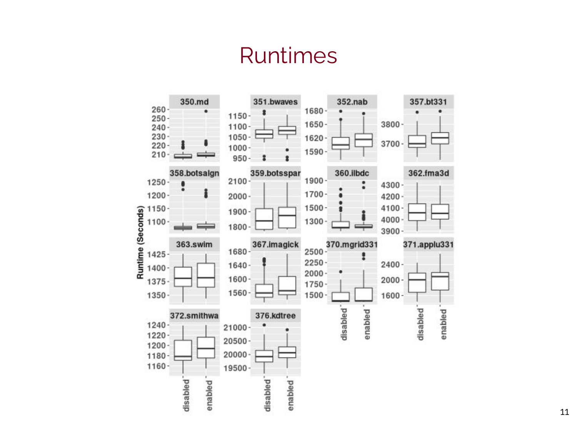### Runtimes

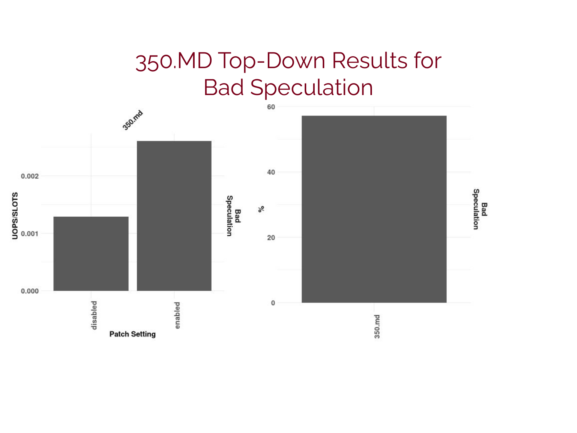### 350.MD Top-Down Results for Bad Speculation

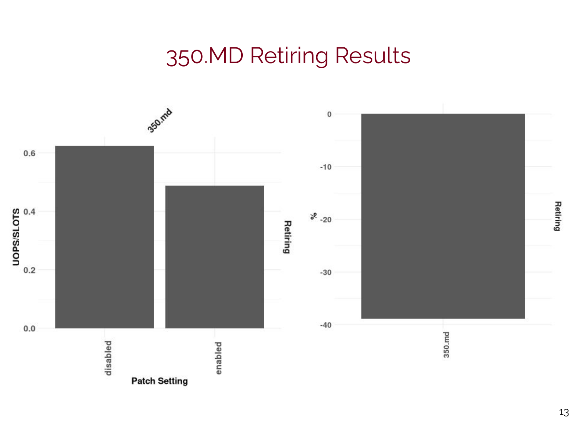### 350.MD Retiring Results

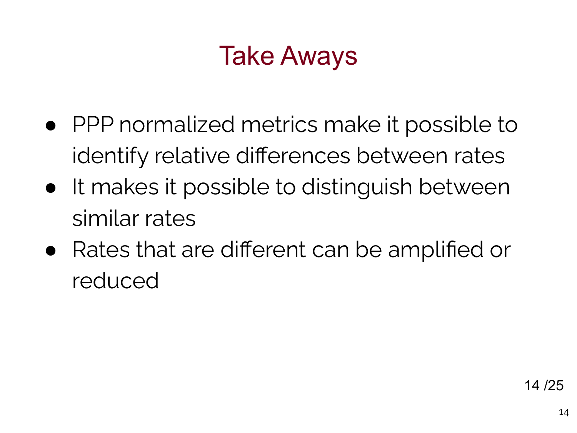# Take Aways

- PPP normalized metrics make it possible to identify relative differences between rates
- It makes it possible to distinguish between similar rates
- Rates that are different can be amplified or reduced